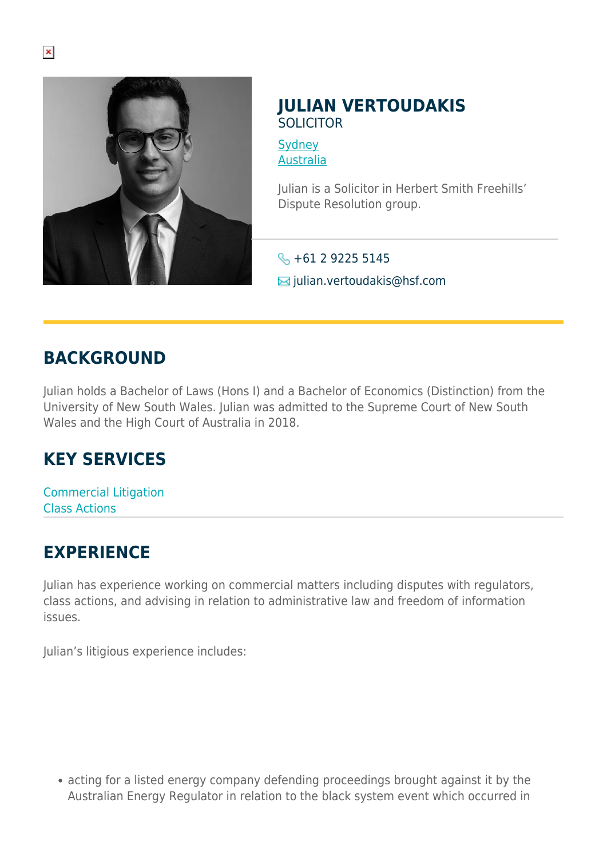

## **JULIAN VERTOUDAKIS** SOLICITOR

**[Sydney](https://www.herbertsmithfreehills.com/where-we-work/sydney)** [Australia](https://www.herbertsmithfreehills.com/where-we-work/australia)

Julian is a Solicitor in Herbert Smith Freehills' Dispute Resolution group.

 $\leftarrow +61$  2 9225 5145 julian.vertoudakis@hsf.com

## **BACKGROUND**

Julian holds a Bachelor of Laws (Hons I) and a Bachelor of Economics (Distinction) from the University of New South Wales. Julian was admitted to the Supreme Court of New South Wales and the High Court of Australia in 2018.

## **KEY SERVICES**

Commercial Litigation Class Actions

## **EXPERIENCE**

Julian has experience working on commercial matters including disputes with regulators, class actions, and advising in relation to administrative law and freedom of information issues.

Julian's litigious experience includes:

acting for a listed energy company defending proceedings brought against it by the Australian Energy Regulator in relation to the black system event which occurred in